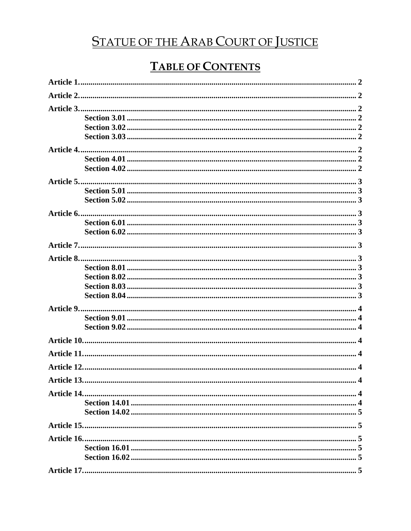# **STATUE OF THE ARAB COURT OF JUSTICE**

# **TABLE OF CONTENTS**

| Article 13. | $\cdot$ 4 |
|-------------|-----------|
|             |           |
|             |           |
|             |           |
|             |           |
|             |           |
|             |           |
|             |           |
|             |           |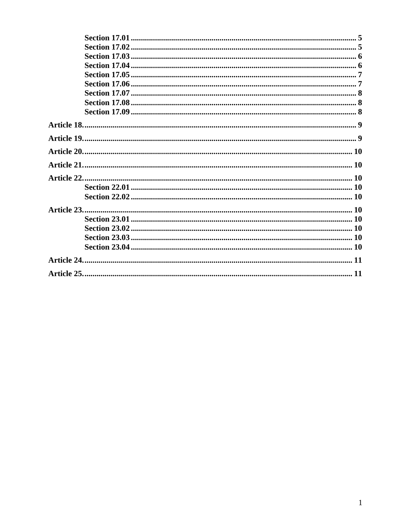<span id="page-1-0"></span>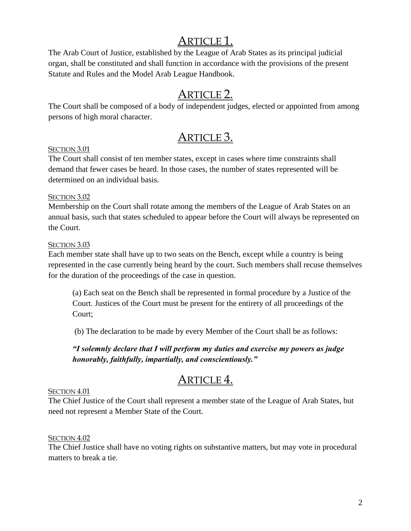# ARTICLE 1.

The Arab Court of Justice, established by the League of Arab States as its principal judicial organ, shall be constituted and shall function in accordance with the provisions of the present Statute and Rules and the Model Arab League Handbook.

### ARTICLE 2.

<span id="page-2-0"></span>The Court shall be composed of a body of independent judges, elected or appointed from among persons of high moral character.

# ARTICLE 3.

### <span id="page-2-2"></span><span id="page-2-1"></span>SECTION 3.01

The Court shall consist of ten member states, except in cases where time constraints shall demand that fewer cases be heard. In those cases, the number of states represented will be determined on an individual basis.

### <span id="page-2-3"></span>SECTION 3.02

Membership on the Court shall rotate among the members of the League of Arab States on an annual basis, such that states scheduled to appear before the Court will always be represented on the Court.

### <span id="page-2-4"></span>SECTION 3.03

Each member state shall have up to two seats on the Bench, except while a country is being represented in the case currently being heard by the court. Such members shall recuse themselves for the duration of the proceedings of the case in question.

(a) Each seat on the Bench shall be represented in formal procedure by a Justice of the Court. Justices of the Court must be present for the entirety of all proceedings of the Court;

(b) The declaration to be made by every Member of the Court shall be as follows:

*"I solemnly declare that I will perform my duties and exercise my powers as judge honorably, faithfully, impartially, and conscientiously."*

# ARTICLE 4.

### <span id="page-2-6"></span><span id="page-2-5"></span>SECTION 4.01

The Chief Justice of the Court shall represent a member state of the League of Arab States, but need not represent a Member State of the Court.

### <span id="page-2-7"></span>SECTION 4.02

The Chief Justice shall have no voting rights on substantive matters, but may vote in procedural matters to break a tie.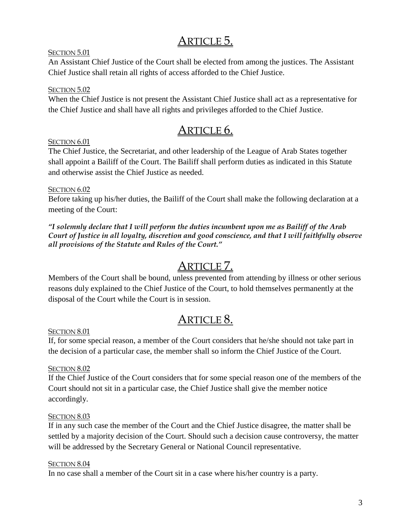## ARTICLE 5.

### <span id="page-3-1"></span><span id="page-3-0"></span>SECTION 5.01

An Assistant Chief Justice of the Court shall be elected from among the justices. The Assistant Chief Justice shall retain all rights of access afforded to the Chief Justice.

### <span id="page-3-2"></span>SECTION 5.02

When the Chief Justice is not present the Assistant Chief Justice shall act as a representative for the Chief Justice and shall have all rights and privileges afforded to the Chief Justice.

### ARTICLE 6.

### <span id="page-3-4"></span><span id="page-3-3"></span>SECTION 6.01

The Chief Justice, the Secretariat, and other leadership of the League of Arab States together shall appoint a Bailiff of the Court. The Bailiff shall perform duties as indicated in this Statute and otherwise assist the Chief Justice as needed.

### <span id="page-3-5"></span>SECTION 6.02

Before taking up his/her duties, the Bailiff of the Court shall make the following declaration at a meeting of the Court:

*"I solemnly declare that I will perform the duties incumbent upon me as Bailiff of the Arab Court of Justice in all loyalty, discretion and good conscience, and that I will faithfully observe all provisions of the Statute and Rules of the Court."*

### ARTICLE 7.

<span id="page-3-6"></span>Members of the Court shall be bound, unless prevented from attending by illness or other serious reasons duly explained to the Chief Justice of the Court, to hold themselves permanently at the disposal of the Court while the Court is in session.

### ARTICLE 8.

#### <span id="page-3-8"></span><span id="page-3-7"></span>SECTION 8.01

If, for some special reason, a member of the Court considers that he/she should not take part in the decision of a particular case, the member shall so inform the Chief Justice of the Court.

### <span id="page-3-9"></span>SECTION 8.02

If the Chief Justice of the Court considers that for some special reason one of the members of the Court should not sit in a particular case, the Chief Justice shall give the member notice accordingly.

### <span id="page-3-10"></span>SECTION 8.03

If in any such case the member of the Court and the Chief Justice disagree, the matter shall be settled by a majority decision of the Court. Should such a decision cause controversy, the matter will be addressed by the Secretary General or National Council representative.

#### <span id="page-3-11"></span>SECTION 8.04

In no case shall a member of the Court sit in a case where his/her country is a party.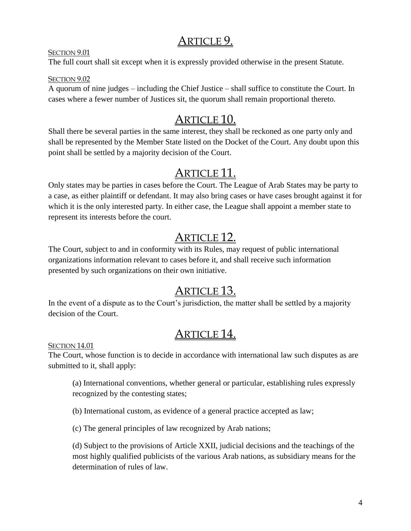### ARTICLE 9.

<span id="page-4-1"></span><span id="page-4-0"></span>SECTION 9.01

The full court shall sit except when it is expressly provided otherwise in the present Statute.

### <span id="page-4-2"></span>SECTION 9.02

A quorum of nine judges – including the Chief Justice – shall suffice to constitute the Court. In cases where a fewer number of Justices sit, the quorum shall remain proportional thereto.

# ARTICLE 10.

<span id="page-4-3"></span>Shall there be several parties in the same interest, they shall be reckoned as one party only and shall be represented by the Member State listed on the Docket of the Court. Any doubt upon this point shall be settled by a majority decision of the Court.

# ARTICLE 11.

<span id="page-4-4"></span>Only states may be parties in cases before the Court. The League of Arab States may be party to a case, as either plaintiff or defendant. It may also bring cases or have cases brought against it for which it is the only interested party. In either case, the League shall appoint a member state to represent its interests before the court.

# ARTICLE 12.

<span id="page-4-5"></span>The Court, subject to and in conformity with its Rules, may request of public international organizations information relevant to cases before it, and shall receive such information presented by such organizations on their own initiative.

# ARTICLE 13.

<span id="page-4-6"></span>In the event of a dispute as to the Court's jurisdiction, the matter shall be settled by a majority decision of the Court.

# ARTICLE 14.

<span id="page-4-8"></span><span id="page-4-7"></span>SECTION 14.01

The Court, whose function is to decide in accordance with international law such disputes as are submitted to it, shall apply:

(a) International conventions, whether general or particular, establishing rules expressly recognized by the contesting states;

(b) International custom, as evidence of a general practice accepted as law;

(c) The general principles of law recognized by Arab nations;

(d) Subject to the provisions of Article XXII, judicial decisions and the teachings of the most highly qualified publicists of the various Arab nations, as subsidiary means for the determination of rules of law.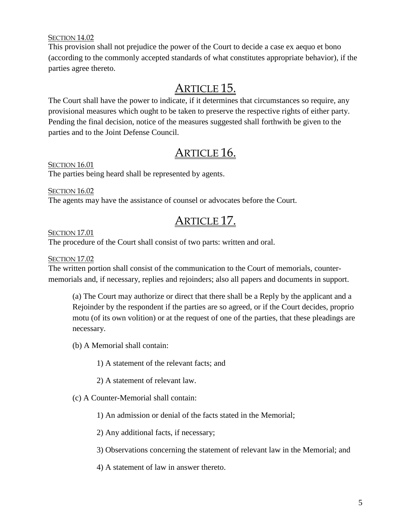### <span id="page-5-0"></span>SECTION 14.02

This provision shall not prejudice the power of the Court to decide a case ex aequo et bono (according to the commonly accepted standards of what constitutes appropriate behavior), if the parties agree thereto.

### ARTICLE 15.

<span id="page-5-1"></span>The Court shall have the power to indicate, if it determines that circumstances so require, any provisional measures which ought to be taken to preserve the respective rights of either party. Pending the final decision, notice of the measures suggested shall forthwith be given to the parties and to the Joint Defense Council.

### ARTICLE 16.

<span id="page-5-3"></span><span id="page-5-2"></span>SECTION 16.01

The parties being heard shall be represented by agents.

<span id="page-5-4"></span>SECTION 16.02 The agents may have the assistance of counsel or advocates before the Court.

### ARTICLE 17.

#### <span id="page-5-6"></span><span id="page-5-5"></span>SECTION 17.01

The procedure of the Court shall consist of two parts: written and oral.

#### <span id="page-5-7"></span>SECTION 17.02

The written portion shall consist of the communication to the Court of memorials, countermemorials and, if necessary, replies and rejoinders; also all papers and documents in support.

(a) The Court may authorize or direct that there shall be a Reply by the applicant and a Rejoinder by the respondent if the parties are so agreed, or if the Court decides, proprio motu (of its own volition) or at the request of one of the parties, that these pleadings are necessary.

(b) A Memorial shall contain:

1) A statement of the relevant facts; and

2) A statement of relevant law.

(c) A Counter-Memorial shall contain:

1) An admission or denial of the facts stated in the Memorial;

2) Any additional facts, if necessary;

3) Observations concerning the statement of relevant law in the Memorial; and

4) A statement of law in answer thereto.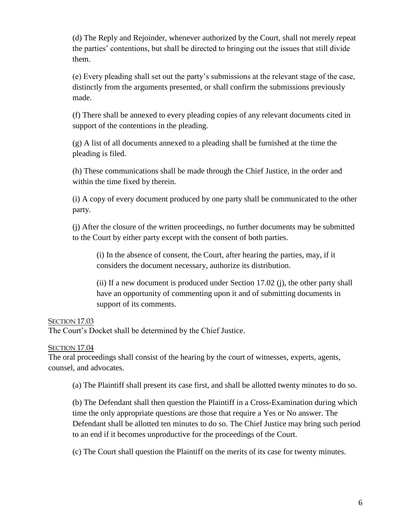(d) The Reply and Rejoinder, whenever authorized by the Court, shall not merely repeat the parties' contentions, but shall be directed to bringing out the issues that still divide them.

(e) Every pleading shall set out the party's submissions at the relevant stage of the case, distinctly from the arguments presented, or shall confirm the submissions previously made.

(f) There shall be annexed to every pleading copies of any relevant documents cited in support of the contentions in the pleading.

(g) A list of all documents annexed to a pleading shall be furnished at the time the pleading is filed.

(h) These communications shall be made through the Chief Justice, in the order and within the time fixed by therein.

(i) A copy of every document produced by one party shall be communicated to the other party.

(j) After the closure of the written proceedings, no further documents may be submitted to the Court by either party except with the consent of both parties.

(i) In the absence of consent, the Court, after hearing the parties, may, if it considers the document necessary, authorize its distribution.

(ii) If a new document is produced under Section 17.02 (j), the other party shall have an opportunity of commenting upon it and of submitting documents in support of its comments.

### <span id="page-6-0"></span>SECTION 17.03

The Court's Docket shall be determined by the Chief Justice.

#### <span id="page-6-1"></span>SECTION 17.04

The oral proceedings shall consist of the hearing by the court of witnesses, experts, agents, counsel, and advocates.

(a) The Plaintiff shall present its case first, and shall be allotted twenty minutes to do so.

(b) The Defendant shall then question the Plaintiff in a Cross-Examination during which time the only appropriate questions are those that require a Yes or No answer. The Defendant shall be allotted ten minutes to do so. The Chief Justice may bring such period to an end if it becomes unproductive for the proceedings of the Court.

(c) The Court shall question the Plaintiff on the merits of its case for twenty minutes.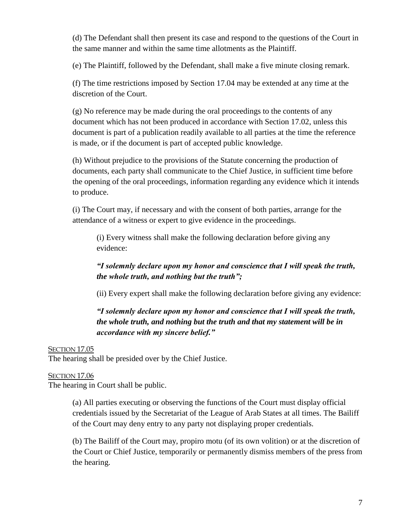(d) The Defendant shall then present its case and respond to the questions of the Court in the same manner and within the same time allotments as the Plaintiff.

(e) The Plaintiff, followed by the Defendant, shall make a five minute closing remark.

(f) The time restrictions imposed by Section 17.04 may be extended at any time at the discretion of the Court.

(g) No reference may be made during the oral proceedings to the contents of any document which has not been produced in accordance with Section 17.02, unless this document is part of a publication readily available to all parties at the time the reference is made, or if the document is part of accepted public knowledge.

(h) Without prejudice to the provisions of the Statute concerning the production of documents, each party shall communicate to the Chief Justice, in sufficient time before the opening of the oral proceedings, information regarding any evidence which it intends to produce.

(i) The Court may, if necessary and with the consent of both parties, arrange for the attendance of a witness or expert to give evidence in the proceedings.

(i) Every witness shall make the following declaration before giving any evidence:

### *"I solemnly declare upon my honor and conscience that I will speak the truth, the whole truth, and nothing but the truth";*

(ii) Every expert shall make the following declaration before giving any evidence:

### *"I solemnly declare upon my honor and conscience that I will speak the truth, the whole truth, and nothing but the truth and that my statement will be in accordance with my sincere belief."*

#### <span id="page-7-0"></span>SECTION 17.05

The hearing shall be presided over by the Chief Justice.

#### <span id="page-7-1"></span>SECTION 17.06

The hearing in Court shall be public.

(a) All parties executing or observing the functions of the Court must display official credentials issued by the Secretariat of the League of Arab States at all times. The Bailiff of the Court may deny entry to any party not displaying proper credentials.

(b) The Bailiff of the Court may, propiro motu (of its own volition) or at the discretion of the Court or Chief Justice, temporarily or permanently dismiss members of the press from the hearing.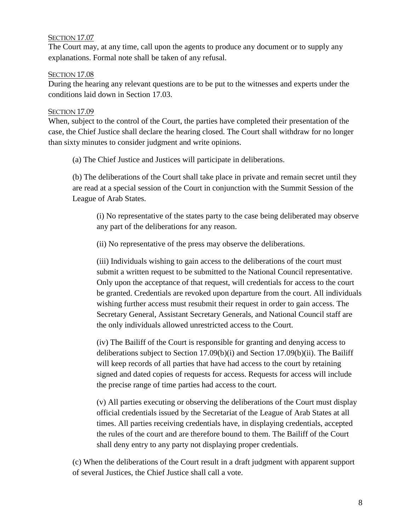### <span id="page-8-0"></span>SECTION 17.07

The Court may, at any time, call upon the agents to produce any document or to supply any explanations. Formal note shall be taken of any refusal.

#### <span id="page-8-1"></span>SECTION 17.08

During the hearing any relevant questions are to be put to the witnesses and experts under the conditions laid down in Section 17.03.

#### <span id="page-8-2"></span>SECTION 17.09

When, subject to the control of the Court, the parties have completed their presentation of the case, the Chief Justice shall declare the hearing closed. The Court shall withdraw for no longer than sixty minutes to consider judgment and write opinions.

(a) The Chief Justice and Justices will participate in deliberations.

(b) The deliberations of the Court shall take place in private and remain secret until they are read at a special session of the Court in conjunction with the Summit Session of the League of Arab States.

(i) No representative of the states party to the case being deliberated may observe any part of the deliberations for any reason.

(ii) No representative of the press may observe the deliberations.

(iii) Individuals wishing to gain access to the deliberations of the court must submit a written request to be submitted to the National Council representative. Only upon the acceptance of that request, will credentials for access to the court be granted. Credentials are revoked upon departure from the court. All individuals wishing further access must resubmit their request in order to gain access. The Secretary General, Assistant Secretary Generals, and National Council staff are the only individuals allowed unrestricted access to the Court.

(iv) The Bailiff of the Court is responsible for granting and denying access to deliberations subject to Section 17.09(b)(i) and Section 17.09(b)(ii). The Bailiff will keep records of all parties that have had access to the court by retaining signed and dated copies of requests for access. Requests for access will include the precise range of time parties had access to the court.

(v) All parties executing or observing the deliberations of the Court must display official credentials issued by the Secretariat of the League of Arab States at all times. All parties receiving credentials have, in displaying credentials, accepted the rules of the court and are therefore bound to them. The Bailiff of the Court shall deny entry to any party not displaying proper credentials.

(c) When the deliberations of the Court result in a draft judgment with apparent support of several Justices, the Chief Justice shall call a vote.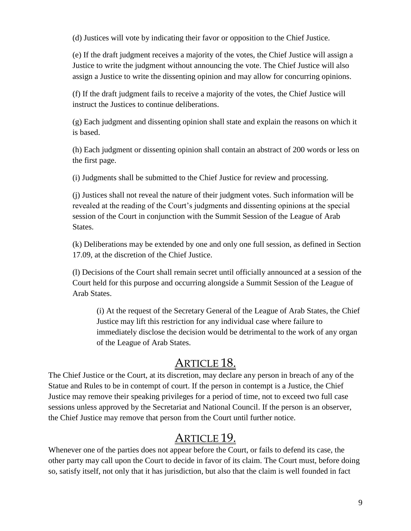(d) Justices will vote by indicating their favor or opposition to the Chief Justice.

(e) If the draft judgment receives a majority of the votes, the Chief Justice will assign a Justice to write the judgment without announcing the vote. The Chief Justice will also assign a Justice to write the dissenting opinion and may allow for concurring opinions.

(f) If the draft judgment fails to receive a majority of the votes, the Chief Justice will instruct the Justices to continue deliberations.

(g) Each judgment and dissenting opinion shall state and explain the reasons on which it is based.

(h) Each judgment or dissenting opinion shall contain an abstract of 200 words or less on the first page.

(i) Judgments shall be submitted to the Chief Justice for review and processing.

(j) Justices shall not reveal the nature of their judgment votes. Such information will be revealed at the reading of the Court's judgments and dissenting opinions at the special session of the Court in conjunction with the Summit Session of the League of Arab States.

(k) Deliberations may be extended by one and only one full session, as defined in Section 17.09, at the discretion of the Chief Justice.

(l) Decisions of the Court shall remain secret until officially announced at a session of the Court held for this purpose and occurring alongside a Summit Session of the League of Arab States.

(i) At the request of the Secretary General of the League of Arab States, the Chief Justice may lift this restriction for any individual case where failure to immediately disclose the decision would be detrimental to the work of any organ of the League of Arab States.

## ARTICLE 18.

<span id="page-9-0"></span>The Chief Justice or the Court, at its discretion, may declare any person in breach of any of the Statue and Rules to be in contempt of court. If the person in contempt is a Justice, the Chief Justice may remove their speaking privileges for a period of time, not to exceed two full case sessions unless approved by the Secretariat and National Council. If the person is an observer, the Chief Justice may remove that person from the Court until further notice.

### ARTICLE 19.

<span id="page-9-1"></span>Whenever one of the parties does not appear before the Court, or fails to defend its case, the other party may call upon the Court to decide in favor of its claim. The Court must, before doing so, satisfy itself, not only that it has jurisdiction, but also that the claim is well founded in fact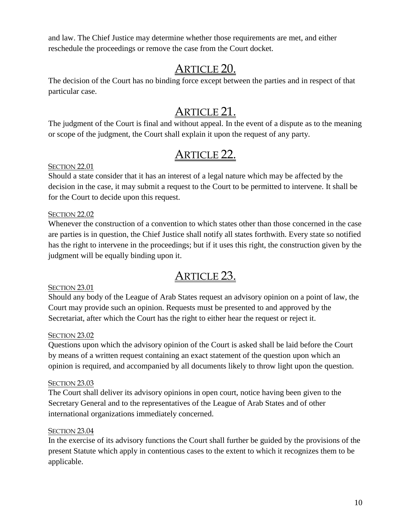and law. The Chief Justice may determine whether those requirements are met, and either reschedule the proceedings or remove the case from the Court docket.

## ARTICLE 20.

<span id="page-10-0"></span>The decision of the Court has no binding force except between the parties and in respect of that particular case.

# ARTICLE 21.

<span id="page-10-1"></span>The judgment of the Court is final and without appeal. In the event of a dispute as to the meaning or scope of the judgment, the Court shall explain it upon the request of any party.

# ARTICLE 22.

### <span id="page-10-3"></span><span id="page-10-2"></span>SECTION 22.01

Should a state consider that it has an interest of a legal nature which may be affected by the decision in the case, it may submit a request to the Court to be permitted to intervene. It shall be for the Court to decide upon this request.

### <span id="page-10-4"></span>SECTION 22.02

Whenever the construction of a convention to which states other than those concerned in the case are parties is in question, the Chief Justice shall notify all states forthwith. Every state so notified has the right to intervene in the proceedings; but if it uses this right, the construction given by the judgment will be equally binding upon it.

### ARTICLE 23.

### <span id="page-10-6"></span><span id="page-10-5"></span>SECTION 23.01

Should any body of the League of Arab States request an advisory opinion on a point of law, the Court may provide such an opinion. Requests must be presented to and approved by the Secretariat, after which the Court has the right to either hear the request or reject it.

### <span id="page-10-7"></span>SECTION 23.02

Questions upon which the advisory opinion of the Court is asked shall be laid before the Court by means of a written request containing an exact statement of the question upon which an opinion is required, and accompanied by all documents likely to throw light upon the question.

#### <span id="page-10-8"></span>SECTION 23.03

The Court shall deliver its advisory opinions in open court, notice having been given to the Secretary General and to the representatives of the League of Arab States and of other international organizations immediately concerned.

### <span id="page-10-9"></span>**SECTION 23.04**

In the exercise of its advisory functions the Court shall further be guided by the provisions of the present Statute which apply in contentious cases to the extent to which it recognizes them to be applicable.